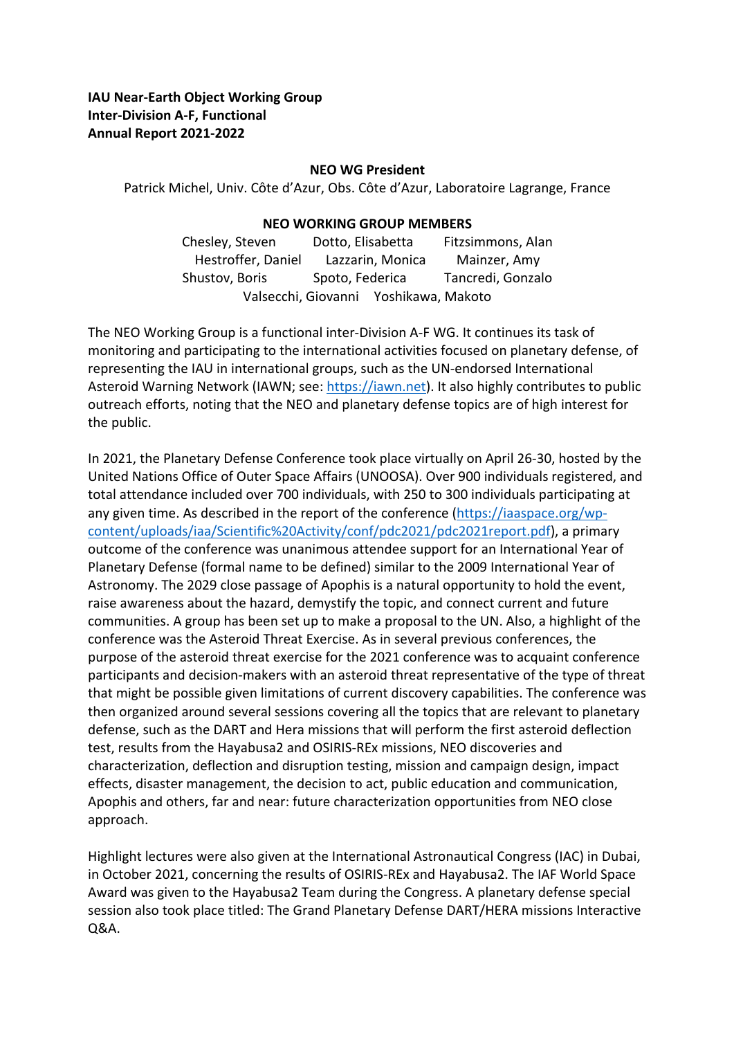## **IAU Near-Earth Object Working Group Inter-Division A-F, Functional Annual Report 2021-2022**

## **NEO WG President**

Patrick Michel, Univ. Côte d'Azur, Obs. Côte d'Azur, Laboratoire Lagrange, France

## **NEO WORKING GROUP MEMBERS**

| Chesley, Steven    | Dotto, Elisabetta |                                       | Fitzsimmons, Alan |
|--------------------|-------------------|---------------------------------------|-------------------|
| Hestroffer, Daniel | Lazzarin, Monica  |                                       | Mainzer, Amy      |
| Shustov, Boris     | Spoto, Federica   |                                       | Tancredi, Gonzalo |
|                    |                   | Valsecchi, Giovanni Yoshikawa, Makoto |                   |

The NEO Working Group is a functional inter-Division A-F WG. It continues its task of monitoring and participating to the international activities focused on planetary defense, of representing the IAU in international groups, such as the UN-endorsed International Asteroid Warning Network (IAWN; see: https://iawn.net). It also highly contributes to public outreach efforts, noting that the NEO and planetary defense topics are of high interest for the public.

In 2021, the Planetary Defense Conference took place virtually on April 26-30, hosted by the United Nations Office of Outer Space Affairs (UNOOSA). Over 900 individuals registered, and total attendance included over 700 individuals, with 250 to 300 individuals participating at any given time. As described in the report of the conference (https://iaaspace.org/wpcontent/uploads/iaa/Scientific%20Activity/conf/pdc2021/pdc2021report.pdf), a primary outcome of the conference was unanimous attendee support for an International Year of Planetary Defense (formal name to be defined) similar to the 2009 International Year of Astronomy. The 2029 close passage of Apophis is a natural opportunity to hold the event, raise awareness about the hazard, demystify the topic, and connect current and future communities. A group has been set up to make a proposal to the UN. Also, a highlight of the conference was the Asteroid Threat Exercise. As in several previous conferences, the purpose of the asteroid threat exercise for the 2021 conference was to acquaint conference participants and decision-makers with an asteroid threat representative of the type of threat that might be possible given limitations of current discovery capabilities. The conference was then organized around several sessions covering all the topics that are relevant to planetary defense, such as the DART and Hera missions that will perform the first asteroid deflection test, results from the Hayabusa2 and OSIRIS-REx missions, NEO discoveries and characterization, deflection and disruption testing, mission and campaign design, impact effects, disaster management, the decision to act, public education and communication, Apophis and others, far and near: future characterization opportunities from NEO close approach.

Highlight lectures were also given at the International Astronautical Congress (IAC) in Dubai, in October 2021, concerning the results of OSIRIS-REx and Hayabusa2. The IAF World Space Award was given to the Hayabusa2 Team during the Congress. A planetary defense special session also took place titled: The Grand Planetary Defense DART/HERA missions Interactive Q&A.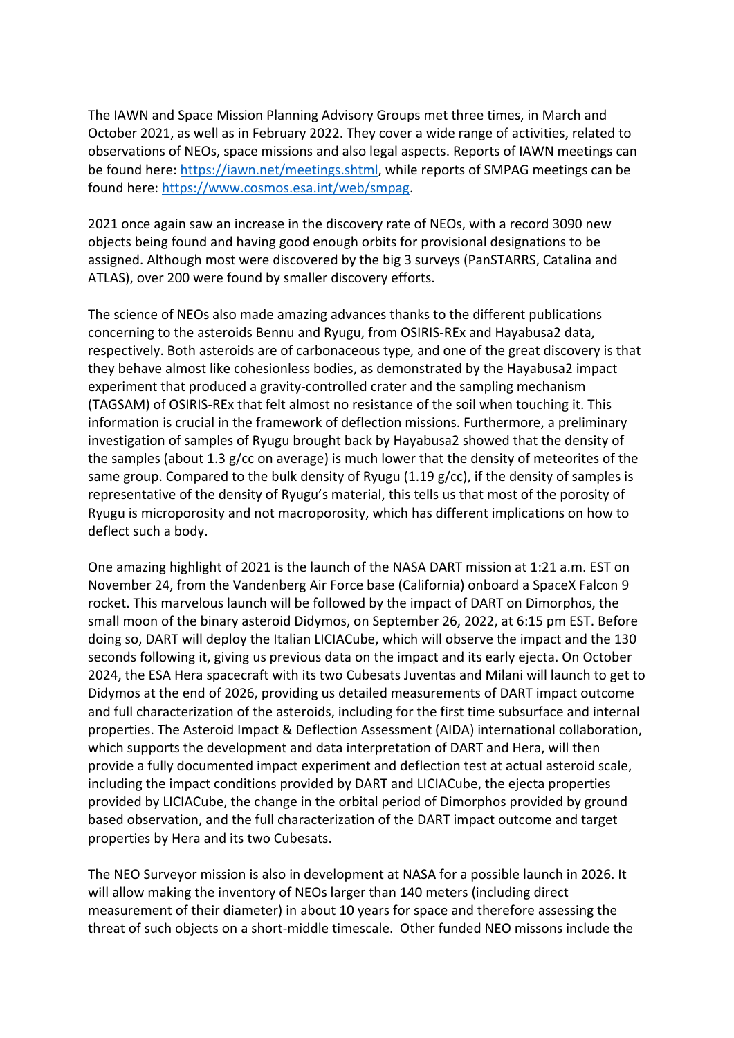The IAWN and Space Mission Planning Advisory Groups met three times, in March and October 2021, as well as in February 2022. They cover a wide range of activities, related to observations of NEOs, space missions and also legal aspects. Reports of IAWN meetings can be found here: https://iawn.net/meetings.shtml, while reports of SMPAG meetings can be found here: https://www.cosmos.esa.int/web/smpag.

2021 once again saw an increase in the discovery rate of NEOs, with a record 3090 new objects being found and having good enough orbits for provisional designations to be assigned. Although most were discovered by the big 3 surveys (PanSTARRS, Catalina and ATLAS), over 200 were found by smaller discovery efforts.

The science of NEOs also made amazing advances thanks to the different publications concerning to the asteroids Bennu and Ryugu, from OSIRIS-REx and Hayabusa2 data, respectively. Both asteroids are of carbonaceous type, and one of the great discovery is that they behave almost like cohesionless bodies, as demonstrated by the Hayabusa2 impact experiment that produced a gravity-controlled crater and the sampling mechanism (TAGSAM) of OSIRIS-REx that felt almost no resistance of the soil when touching it. This information is crucial in the framework of deflection missions. Furthermore, a preliminary investigation of samples of Ryugu brought back by Hayabusa2 showed that the density of the samples (about 1.3 g/cc on average) is much lower that the density of meteorites of the same group. Compared to the bulk density of Ryugu  $(1.19 \text{ g/cc})$ , if the density of samples is representative of the density of Ryugu's material, this tells us that most of the porosity of Ryugu is microporosity and not macroporosity, which has different implications on how to deflect such a body.

One amazing highlight of 2021 is the launch of the NASA DART mission at 1:21 a.m. EST on November 24, from the Vandenberg Air Force base (California) onboard a SpaceX Falcon 9 rocket. This marvelous launch will be followed by the impact of DART on Dimorphos, the small moon of the binary asteroid Didymos, on September 26, 2022, at 6:15 pm EST. Before doing so, DART will deploy the Italian LICIACube, which will observe the impact and the 130 seconds following it, giving us previous data on the impact and its early ejecta. On October 2024, the ESA Hera spacecraft with its two Cubesats Juventas and Milani will launch to get to Didymos at the end of 2026, providing us detailed measurements of DART impact outcome and full characterization of the asteroids, including for the first time subsurface and internal properties. The Asteroid Impact & Deflection Assessment (AIDA) international collaboration, which supports the development and data interpretation of DART and Hera, will then provide a fully documented impact experiment and deflection test at actual asteroid scale, including the impact conditions provided by DART and LICIACube, the ejecta properties provided by LICIACube, the change in the orbital period of Dimorphos provided by ground based observation, and the full characterization of the DART impact outcome and target properties by Hera and its two Cubesats.

The NEO Surveyor mission is also in development at NASA for a possible launch in 2026. It will allow making the inventory of NEOs larger than 140 meters (including direct measurement of their diameter) in about 10 years for space and therefore assessing the threat of such objects on a short-middle timescale. Other funded NEO missons include the